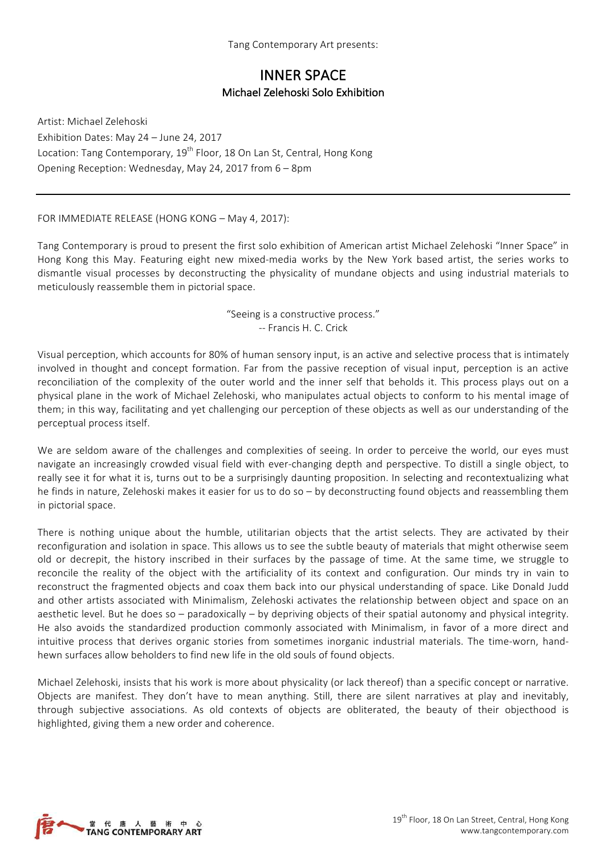## INNER SPACE Michael Zelehoski Solo Exhibition

Artist: Michael Zelehoski Exhibition Dates: May 24 - June 24, 2017 Location: Tang Contemporary, 19<sup>th</sup> Floor, 18 On Lan St, Central, Hong Kong Opening Reception: Wednesday, May 24, 2017 from 6 - 8pm

FOR IMMEDIATE RELEASE (HONG KONG – May 4, 2017):

Tang Contemporary is proud to present the first solo exhibition of American artist Michael Zelehoski "Inner Space" in Hong Kong this May. Featuring eight new mixed-media works by the New York based artist, the series works to dismantle visual processes by deconstructing the physicality of mundane objects and using industrial materials to meticulously reassemble them in pictorial space.

> "Seeing is a constructive process." -- Francis H. C. Crick

Visual perception, which accounts for 80% of human sensory input, is an active and selective process that is intimately involved in thought and concept formation. Far from the passive reception of visual input, perception is an active reconciliation of the complexity of the outer world and the inner self that beholds it. This process plays out on a physical plane in the work of Michael Zelehoski, who manipulates actual objects to conform to his mental image of them; in this way, facilitating and yet challenging our perception of these objects as well as our understanding of the perceptual process itself.

We are seldom aware of the challenges and complexities of seeing. In order to perceive the world, our eyes must navigate an increasingly crowded visual field with ever-changing depth and perspective. To distill a single object, to really see it for what it is, turns out to be a surprisingly daunting proposition. In selecting and recontextualizing what he finds in nature, Zelehoski makes it easier for us to do so – by deconstructing found objects and reassembling them in pictorial space.

There is nothing unique about the humble, utilitarian objects that the artist selects. They are activated by their reconfiguration and isolation in space. This allows us to see the subtle beauty of materials that might otherwise seem old or decrepit, the history inscribed in their surfaces by the passage of time. At the same time, we struggle to reconcile the reality of the object with the artificiality of its context and configuration. Our minds try in vain to reconstruct the fragmented objects and coax them back into our physical understanding of space. Like Donald Judd and other artists associated with Minimalism, Zelehoski activates the relationship between object and space on an aesthetic level. But he does so – paradoxically – by depriving objects of their spatial autonomy and physical integrity. He also avoids the standardized production commonly associated with Minimalism, in favor of a more direct and intuitive process that derives organic stories from sometimes inorganic industrial materials. The time-worn, handhewn surfaces allow beholders to find new life in the old souls of found objects.

Michael Zelehoski, insists that his work is more about physicality (or lack thereof) than a specific concept or narrative. Objects are manifest. They don't have to mean anything. Still, there are silent narratives at play and inevitably, through subjective associations. As old contexts of objects are obliterated, the beauty of their objecthood is highlighted, giving them a new order and coherence.

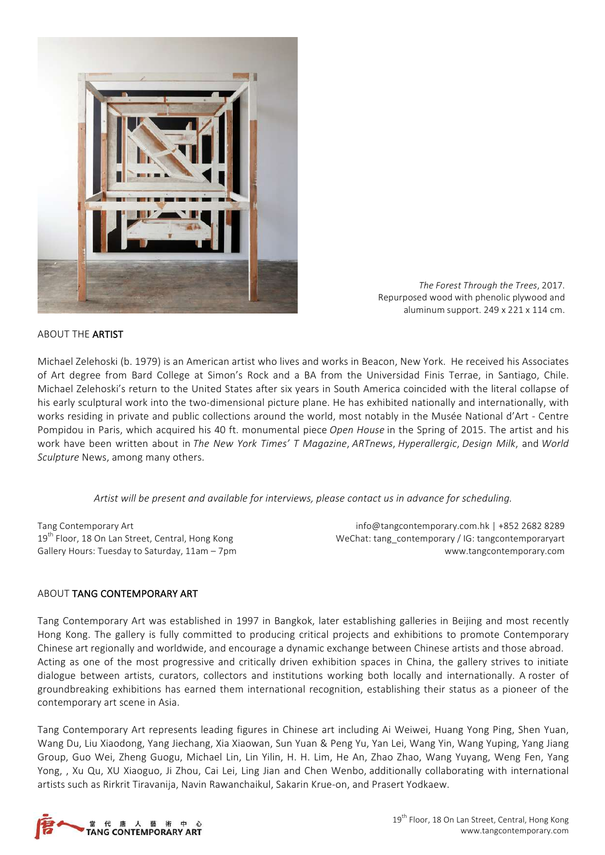

The Forest Through the Trees, 2017. Repurposed wood with phenolic plywood and aluminum support. 249 x 221 x 114 cm.

#### ABOUT THE ARTIST

Michael Zelehoski (b. 1979) is an American artist who lives and works in Beacon, New York. He received his Associates of Art degree from Bard College at Simon's Rock and a BA from the Universidad Finis Terrae, in Santiago, Chile. Michael Zelehoski's return to the United States after six years in South America coincided with the literal collapse of his early sculptural work into the two-dimensional picture plane. He has exhibited nationally and internationally, with works residing in private and public collections around the world, most notably in the Musée National d'Art - Centre Pompidou in Paris, which acquired his 40 ft. monumental piece *Open House* in the Spring of 2015. The artist and his work have been written about in *The New York Times' T Magazine*, *ARTnews*, *Hyperallergic*, *Design Milk*, and *World Sculpture* News, among many others.

Artist will be present and available for interviews, please contact us in advance for scheduling.

Tang Contemporary Art 19<sup>th</sup> Floor, 18 On Lan Street, Central, Hong Kong Gallery Hours: Tuesday to Saturday, 11am - 7pm

info@tangcontemporary.com.hk | +852 2682 8289 WeChat: tang\_contemporary / IG: tangcontemporaryart www.tangcontemporary.com

### ABOUT TANG CONTEMPORARY ART

Tang Contemporary Art was established in 1997 in Bangkok, later establishing galleries in Beijing and most recently Hong Kong. The gallery is fully committed to producing critical projects and exhibitions to promote Contemporary Chinese art regionally and worldwide, and encourage a dynamic exchange between Chinese artists and those abroad. Acting as one of the most progressive and critically driven exhibition spaces in China, the gallery strives to initiate dialogue between artists, curators, collectors and institutions working both locally and internationally. A roster of groundbreaking exhibitions has earned them international recognition, establishing their status as a pioneer of the contemporary art scene in Asia.

Tang Contemporary Art represents leading figures in Chinese art including Ai Weiwei, Huang Yong Ping, Shen Yuan, Wang Du, Liu Xiaodong, Yang Jiechang, Xia Xiaowan, Sun Yuan & Peng Yu, Yan Lei, Wang Yin, Wang Yuping, Yang Jiang Group, Guo Wei, Zheng Guogu, Michael Lin, Lin Yilin, H. H. Lim, He An, Zhao Zhao, Wang Yuyang, Weng Fen, Yang Yong, , Xu Qu, XU Xiaoguo, Ji Zhou, Cai Lei, Ling Jian and Chen Wenbo, additionally collaborating with international artists such as Rirkrit Tiravanija, Navin Rawanchaikul, Sakarin Krue-on, and Prasert Yodkaew.

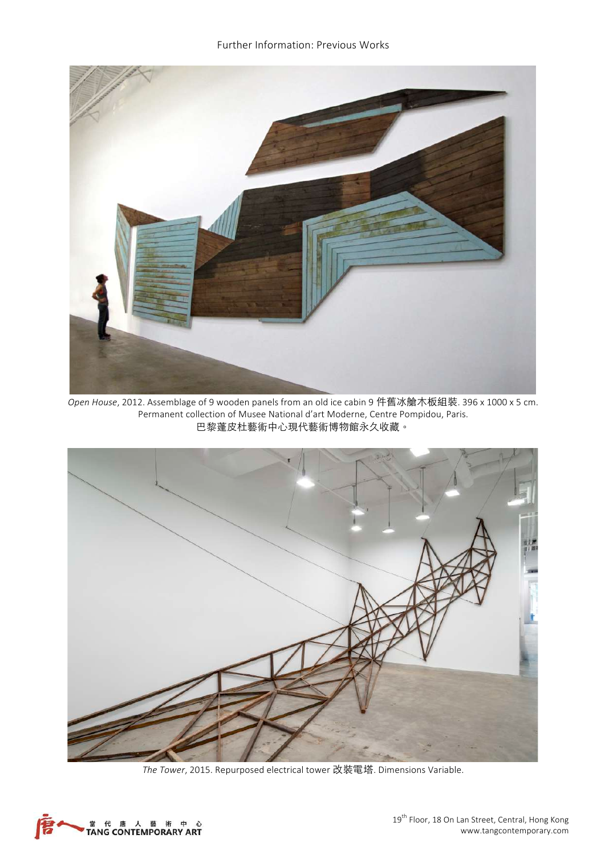

*Open House*, 2012. Assemblage of 9 wooden panels from an old ice cabin 9 件舊冰艙木板組裝. 396 x 1000 x 5 cm. Permanent collection of Musee National d'art Moderne, Centre Pompidou, Paris. 巴黎蓬皮杜藝術中心現代藝術博物館永久收藏。



The Tower, 2015. Repurposed electrical tower 改裝電塔. Dimensions Variable.

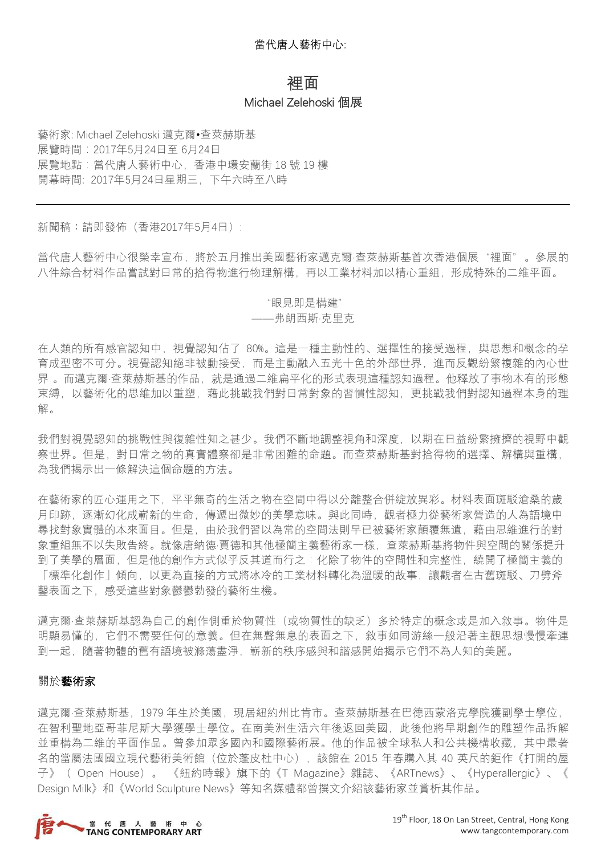# 裡面 Michael Zelehoski 個展

藝術家: Michael Zelehoski 邁克爾•查萊赫斯基 展覽時間:2017年5月24日至 6月24日 展覽地點:當代唐人藝術中心,香港中環安蘭街 18號 19樓 開幕時間: 2017年5月24日星期三,下午六時至八時

新聞稿︰請即發佈(香港2017年5月4日):

當代唐人藝術中心很榮幸宣布,將於五月推出美國藝術家邁克爾·查萊赫斯基首次香港個展"裡面"。參展的 八件綜合材料作品嘗試對日常的拾得物進行物理解構,再以工業材料加以精心重組,形成特殊的二維平面。

## "眼見即是構建"

### ——弗朗西斯·克里克

在人類的所有感官認知中,視覺認知佔了 80%。這是一種主動性的、選擇性的接受過程,與思想和概念的孕 育成型密不可分。視覺認知絕非被動接受,而是主動融入五光十色的外部世界,進而反觀紛繁複雜的內心世 界 。而邁克爾·查萊赫斯基的作品,就是通過二維扁平化的形式表現這種認知過程。他釋放了事物本有的形態 束縛,以藝術化的思維加以重塑,藉此挑戰我們對日常對象的習慣性認知,更挑戰我們對認知過程本身的理 解。

我們對視覺認知的挑戰性與復雜性知之甚少。我們不斷地調整視角和深度,以期在日益紛繁擁擠的視野中觀 察世界。但是,對日常之物的真實體察卻是非常困難的命題。而查萊赫斯基對拾得物的選擇、解構與重構, 為我們揭示出一條解決這個命題的方法。

在藝術家的匠心運用之下,平平無奇的生活之物在空間中得以分離整合併綻放異彩。材料表面斑駁滄桑的歲 月印跡,逐漸幻化成嶄新的生命,傳遞出微妙的美學意味。與此同時,觀者極力從藝術家營造的人為語境中 尋找對象實體的本來面目。但是,由於我們習以為常的空間法則早已被藝術家顛覆無遺,藉由思維進行的對 象重組無不以失敗告終。就像唐納德·賈德和其他極簡主義藝術家一樣,查萊赫斯基將物件與空間的關係提升 到了美學的層面,但是他的創作方式似乎反其道而行之:化除了物件的空間性和完整性,繞開了極簡主義的 「標準化創作」傾向,以更為直接的方式將冰冷的工業材料轉化為溫暖的故事,讓觀者在古舊斑駁、刀劈斧 鑿表面之下,感受這些對象鬱鬱勃發的藝術生機。

邁克爾·查萊赫斯基認為自己的創作側重於物質性(或物質性的缺乏)多於特定的概念或是加入敘事。物件是 明顯易懂的,它們不需要任何的意義。但在無聲無息的表面之下,敘事如同游絲一般沿著主觀思想慢慢牽連 到一起,隨著物體的舊有語境被滌蕩盡淨,嶄新的秩序感與和諧感開始揭示它們不為人知的美麗。

### 關於藝術家

邁克爾·查萊赫斯基, 1979 年生於美國, 現居紐約州比肯市。查萊赫斯基在巴德西蒙洛克學院獲副學士學位, 在智利聖地亞哥菲尼斯大學獲學士學位。在南美洲生活六年後返回美國,此後他將早期創作的雕塑作品拆解 並重構為二維的平面作品。曾參加眾多國內和國際藝術展。他的作品被全球私人和公共機構收藏,其中最著 名的當屬法國國立現代藝術美術館(位於蓬皮杜中心),該館在 2015 年春購入其 40 英尺的鉅作《打開的屋 子》( Open House)。 《紐約時報》旗下的《T Magazine》雜誌、《ARTnews》、《Hyperallergic》、《 Design Milk》和《World Sculpture News》等知名媒體都曾撰文介紹該藝術家並賞析其作品。